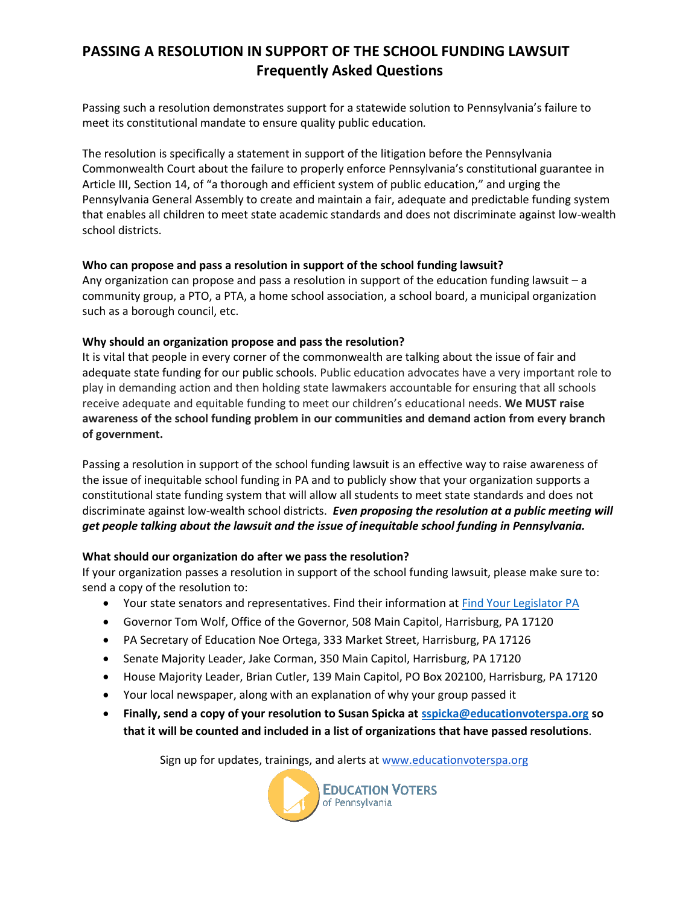# **PASSING A RESOLUTION IN SUPPORT OF THE SCHOOL FUNDING LAWSUIT Frequently Asked Questions**

Passing such a resolution demonstrates support for a statewide solution to Pennsylvania's failure to meet its constitutional mandate to ensure quality public education*.*

The resolution is specifically a statement in support of the litigation before the Pennsylvania Commonwealth Court about the failure to properly enforce Pennsylvania's constitutional guarantee in Article III, Section 14, of "a thorough and efficient system of public education," and urging the Pennsylvania General Assembly to create and maintain a fair, adequate and predictable funding system that enables all children to meet state academic standards and does not discriminate against low-wealth school districts.

#### **Who can propose and pass a resolution in support of the school funding lawsuit?**

Any organization can propose and pass a resolution in support of the education funding lawsuit – a community group, a PTO, a PTA, a home school association, a school board, a municipal organization such as a borough council, etc.

### **Why should an organization propose and pass the resolution?**

It is vital that people in every corner of the commonwealth are talking about the issue of fair and adequate state funding for our public schools. Public education advocates have a very important role to play in demanding action and then holding state lawmakers accountable for ensuring that all schools receive adequate and equitable funding to meet our children's educational needs. **We MUST raise awareness of the school funding problem in our communities and demand action from every branch of government.**

Passing a resolution in support of the school funding lawsuit is an effective way to raise awareness of the issue of inequitable school funding in PA and to publicly show that your organization supports a constitutional state funding system that will allow all students to meet state standards and does not discriminate against low-wealth school districts. *Even proposing the resolution at a public meeting will get people talking about the lawsuit and the issue of inequitable school funding in Pennsylvania.*

### **What should our organization do after we pass the resolution?**

If your organization passes a resolution in support of the school funding lawsuit, please make sure to: send a copy of the resolution to:

- Your state senators and representatives. Find their information at [Find Your Legislator PA](https://www.legis.state.pa.us/cfdocs/legis/home/findyourlegislator/)
- Governor Tom Wolf, Office of the Governor, 508 Main Capitol, Harrisburg, PA 17120
- PA Secretary of Education Noe Ortega, 333 Market Street, Harrisburg, PA 17126
- Senate Majority Leader, Jake Corman, 350 Main Capitol, Harrisburg, PA 17120
- House Majority Leader, Brian Cutler, 139 Main Capitol, PO Box 202100, Harrisburg, PA 17120
- Your local newspaper, along with an explanation of why your group passed it
- **Finally, send a copy of your resolution to Susan Spicka a[t sspicka@educationvoterspa.org](mailto:sspicka@educationvoterspa.org) so that it will be counted and included in a list of organizations that have passed resolutions**.

Sign up for updates, trainings, and alerts at www.educationvoterspa.org